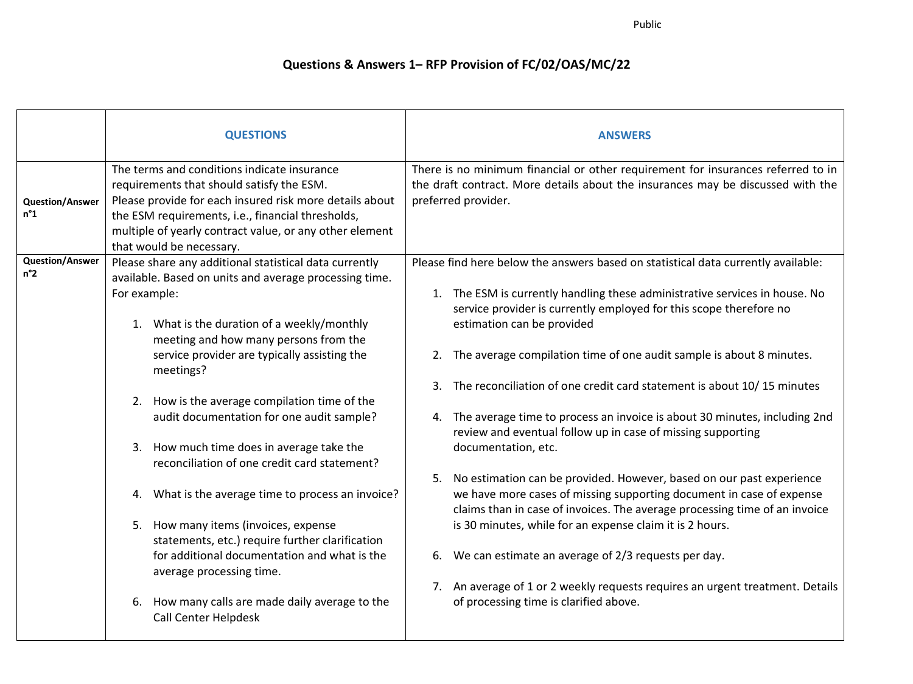Public

## **Questions & Answers 1– RFP Provision of FC/02/OAS/MC/22**

|                                        | <b>QUESTIONS</b>                                                                                                                                                                                                                                                                                                                                                                                                                                                                                                                                                                                                                                                                                                                                                                            | <b>ANSWERS</b>                                                                                                                                                                                                                                                                                                                                                                                                                                                                                                                                                                                                                                                                                                                                                                                                                                                                                                                                                                                                                                                                          |
|----------------------------------------|---------------------------------------------------------------------------------------------------------------------------------------------------------------------------------------------------------------------------------------------------------------------------------------------------------------------------------------------------------------------------------------------------------------------------------------------------------------------------------------------------------------------------------------------------------------------------------------------------------------------------------------------------------------------------------------------------------------------------------------------------------------------------------------------|-----------------------------------------------------------------------------------------------------------------------------------------------------------------------------------------------------------------------------------------------------------------------------------------------------------------------------------------------------------------------------------------------------------------------------------------------------------------------------------------------------------------------------------------------------------------------------------------------------------------------------------------------------------------------------------------------------------------------------------------------------------------------------------------------------------------------------------------------------------------------------------------------------------------------------------------------------------------------------------------------------------------------------------------------------------------------------------------|
| <b>Question/Answer</b><br>$n^{\circ}1$ | The terms and conditions indicate insurance<br>requirements that should satisfy the ESM.<br>Please provide for each insured risk more details about<br>the ESM requirements, i.e., financial thresholds,<br>multiple of yearly contract value, or any other element<br>that would be necessary.                                                                                                                                                                                                                                                                                                                                                                                                                                                                                             | There is no minimum financial or other requirement for insurances referred to in<br>the draft contract. More details about the insurances may be discussed with the<br>preferred provider.                                                                                                                                                                                                                                                                                                                                                                                                                                                                                                                                                                                                                                                                                                                                                                                                                                                                                              |
| <b>Question/Answer</b><br>$n^{\circ}2$ | Please share any additional statistical data currently<br>available. Based on units and average processing time.<br>For example:<br>1. What is the duration of a weekly/monthly<br>meeting and how many persons from the<br>service provider are typically assisting the<br>meetings?<br>2. How is the average compilation time of the<br>audit documentation for one audit sample?<br>3. How much time does in average take the<br>reconciliation of one credit card statement?<br>4. What is the average time to process an invoice?<br>5. How many items (invoices, expense<br>statements, etc.) require further clarification<br>for additional documentation and what is the<br>average processing time.<br>How many calls are made daily average to the<br>6.<br>Call Center Helpdesk | Please find here below the answers based on statistical data currently available:<br>1. The ESM is currently handling these administrative services in house. No<br>service provider is currently employed for this scope therefore no<br>estimation can be provided<br>2. The average compilation time of one audit sample is about 8 minutes.<br>The reconciliation of one credit card statement is about 10/15 minutes<br>4. The average time to process an invoice is about 30 minutes, including 2nd<br>review and eventual follow up in case of missing supporting<br>documentation, etc.<br>No estimation can be provided. However, based on our past experience<br>5.<br>we have more cases of missing supporting document in case of expense<br>claims than in case of invoices. The average processing time of an invoice<br>is 30 minutes, while for an expense claim it is 2 hours.<br>We can estimate an average of 2/3 requests per day.<br>6.<br>7. An average of 1 or 2 weekly requests requires an urgent treatment. Details<br>of processing time is clarified above. |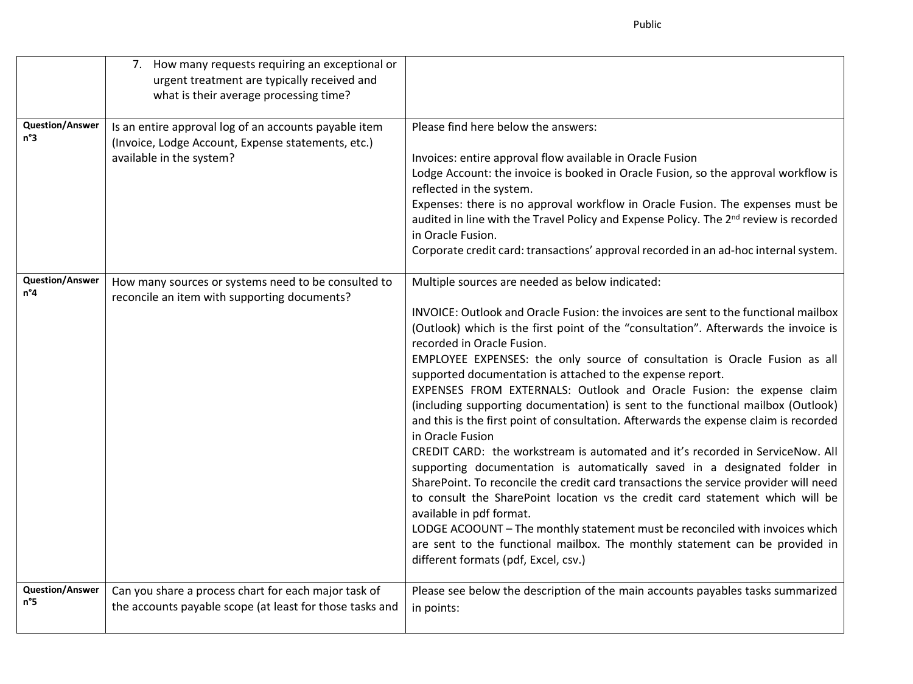Public

|                                        | 7. How many requests requiring an exceptional or<br>urgent treatment are typically received and<br>what is their average processing time? |                                                                                                                                                                                                                                                                                                                                                                                                                                                                                                                                                                                                                                                                                                                                                                                                                                                                                                                                                                                                                                                                                                                                                                                                                                                              |
|----------------------------------------|-------------------------------------------------------------------------------------------------------------------------------------------|--------------------------------------------------------------------------------------------------------------------------------------------------------------------------------------------------------------------------------------------------------------------------------------------------------------------------------------------------------------------------------------------------------------------------------------------------------------------------------------------------------------------------------------------------------------------------------------------------------------------------------------------------------------------------------------------------------------------------------------------------------------------------------------------------------------------------------------------------------------------------------------------------------------------------------------------------------------------------------------------------------------------------------------------------------------------------------------------------------------------------------------------------------------------------------------------------------------------------------------------------------------|
| <b>Question/Answer</b><br>n°3          | Is an entire approval log of an accounts payable item<br>(Invoice, Lodge Account, Expense statements, etc.)<br>available in the system?   | Please find here below the answers:<br>Invoices: entire approval flow available in Oracle Fusion<br>Lodge Account: the invoice is booked in Oracle Fusion, so the approval workflow is<br>reflected in the system.<br>Expenses: there is no approval workflow in Oracle Fusion. The expenses must be<br>audited in line with the Travel Policy and Expense Policy. The 2 <sup>nd</sup> review is recorded<br>in Oracle Fusion.<br>Corporate credit card: transactions' approval recorded in an ad-hoc internal system.                                                                                                                                                                                                                                                                                                                                                                                                                                                                                                                                                                                                                                                                                                                                       |
| <b>Question/Answer</b><br>$n^{\circ}4$ | How many sources or systems need to be consulted to<br>reconcile an item with supporting documents?                                       | Multiple sources are needed as below indicated:<br>INVOICE: Outlook and Oracle Fusion: the invoices are sent to the functional mailbox<br>(Outlook) which is the first point of the "consultation". Afterwards the invoice is<br>recorded in Oracle Fusion.<br>EMPLOYEE EXPENSES: the only source of consultation is Oracle Fusion as all<br>supported documentation is attached to the expense report.<br>EXPENSES FROM EXTERNALS: Outlook and Oracle Fusion: the expense claim<br>(including supporting documentation) is sent to the functional mailbox (Outlook)<br>and this is the first point of consultation. Afterwards the expense claim is recorded<br>in Oracle Fusion<br>CREDIT CARD: the workstream is automated and it's recorded in ServiceNow. All<br>supporting documentation is automatically saved in a designated folder in<br>SharePoint. To reconcile the credit card transactions the service provider will need<br>to consult the SharePoint location vs the credit card statement which will be<br>available in pdf format.<br>LODGE ACOOUNT - The monthly statement must be reconciled with invoices which<br>are sent to the functional mailbox. The monthly statement can be provided in<br>different formats (pdf, Excel, csv.) |
| <b>Question/Answer</b><br>n°5          | Can you share a process chart for each major task of<br>the accounts payable scope (at least for those tasks and                          | Please see below the description of the main accounts payables tasks summarized<br>in points:                                                                                                                                                                                                                                                                                                                                                                                                                                                                                                                                                                                                                                                                                                                                                                                                                                                                                                                                                                                                                                                                                                                                                                |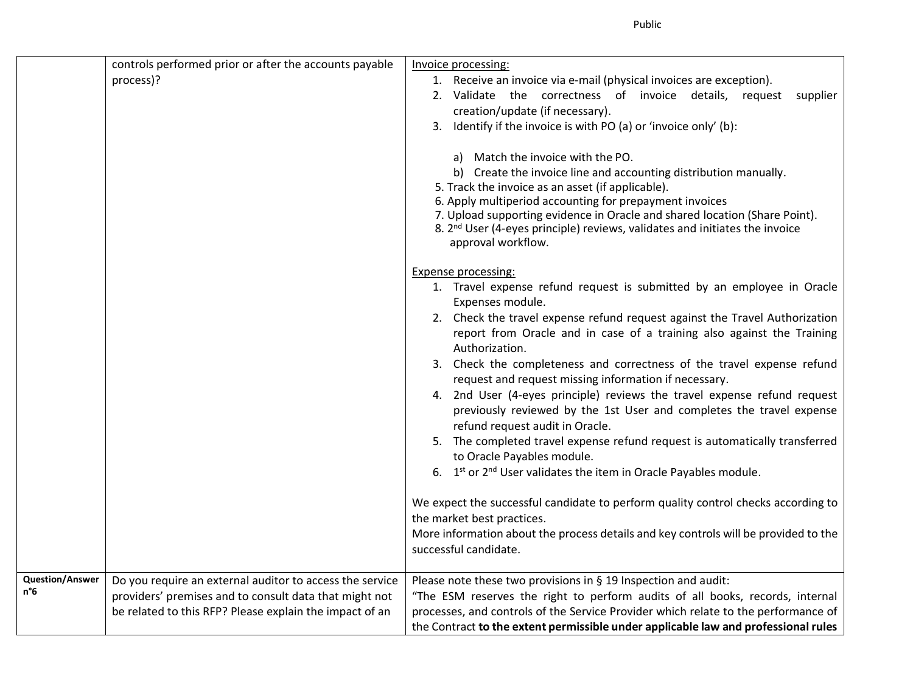|                               | controls performed prior or after the accounts payable<br>process)?                                                                                                           | Invoice processing:<br>1. Receive an invoice via e-mail (physical invoices are exception).<br>2. Validate the correctness of invoice details, request<br>supplier<br>creation/update (if necessary).<br>3. Identify if the invoice is with PO (a) or 'invoice only' (b):<br>a) Match the invoice with the PO.<br>b) Create the invoice line and accounting distribution manually.<br>5. Track the invoice as an asset (if applicable).<br>6. Apply multiperiod accounting for prepayment invoices<br>7. Upload supporting evidence in Oracle and shared location (Share Point).<br>8. 2 <sup>nd</sup> User (4-eyes principle) reviews, validates and initiates the invoice<br>approval workflow.<br><b>Expense processing:</b><br>1. Travel expense refund request is submitted by an employee in Oracle<br>Expenses module.<br>2. Check the travel expense refund request against the Travel Authorization<br>report from Oracle and in case of a training also against the Training<br>Authorization.<br>3. Check the completeness and correctness of the travel expense refund<br>request and request missing information if necessary.<br>4. 2nd User (4-eyes principle) reviews the travel expense refund request<br>previously reviewed by the 1st User and completes the travel expense<br>refund request audit in Oracle.<br>5. The completed travel expense refund request is automatically transferred<br>to Oracle Payables module.<br>6. 1st or 2 <sup>nd</sup> User validates the item in Oracle Payables module.<br>We expect the successful candidate to perform quality control checks according to<br>the market best practices. |
|-------------------------------|-------------------------------------------------------------------------------------------------------------------------------------------------------------------------------|---------------------------------------------------------------------------------------------------------------------------------------------------------------------------------------------------------------------------------------------------------------------------------------------------------------------------------------------------------------------------------------------------------------------------------------------------------------------------------------------------------------------------------------------------------------------------------------------------------------------------------------------------------------------------------------------------------------------------------------------------------------------------------------------------------------------------------------------------------------------------------------------------------------------------------------------------------------------------------------------------------------------------------------------------------------------------------------------------------------------------------------------------------------------------------------------------------------------------------------------------------------------------------------------------------------------------------------------------------------------------------------------------------------------------------------------------------------------------------------------------------------------------------------------------------------------------------------------------------------------------------------------------|
|                               |                                                                                                                                                                               | More information about the process details and key controls will be provided to the<br>successful candidate.                                                                                                                                                                                                                                                                                                                                                                                                                                                                                                                                                                                                                                                                                                                                                                                                                                                                                                                                                                                                                                                                                                                                                                                                                                                                                                                                                                                                                                                                                                                                      |
| <b>Question/Answer</b><br>n°6 | Do you require an external auditor to access the service<br>providers' premises and to consult data that might not<br>be related to this RFP? Please explain the impact of an | Please note these two provisions in § 19 Inspection and audit:<br>"The ESM reserves the right to perform audits of all books, records, internal<br>processes, and controls of the Service Provider which relate to the performance of<br>the Contract to the extent permissible under applicable law and professional rules                                                                                                                                                                                                                                                                                                                                                                                                                                                                                                                                                                                                                                                                                                                                                                                                                                                                                                                                                                                                                                                                                                                                                                                                                                                                                                                       |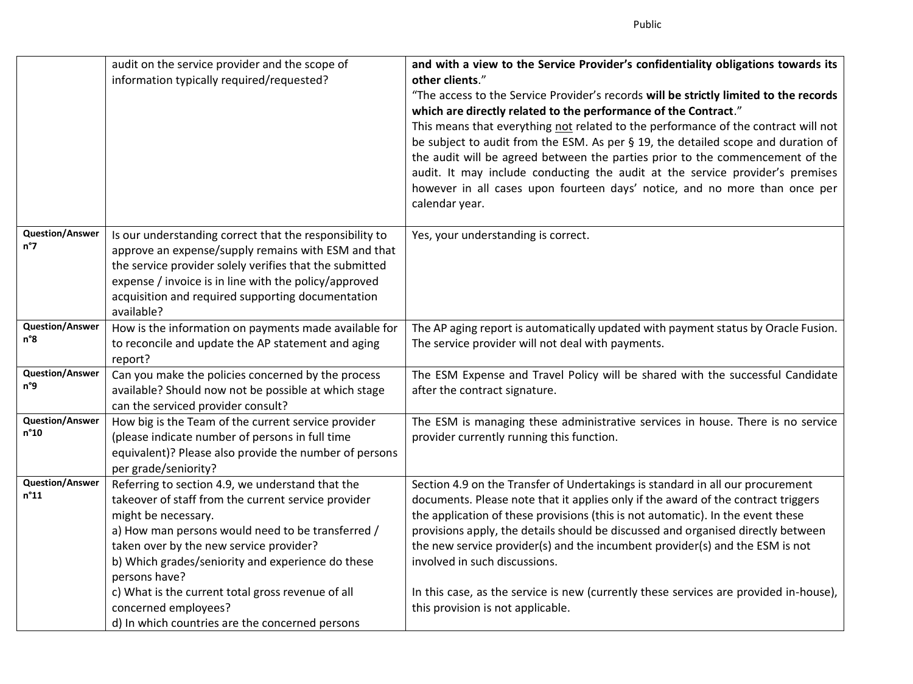|                                         | audit on the service provider and the scope of<br>information typically required/requested?                                                                                                                                                                                                                                                                                                                                          | and with a view to the Service Provider's confidentiality obligations towards its<br>other clients."<br>"The access to the Service Provider's records will be strictly limited to the records<br>which are directly related to the performance of the Contract."<br>This means that everything not related to the performance of the contract will not<br>be subject to audit from the ESM. As per § 19, the detailed scope and duration of<br>the audit will be agreed between the parties prior to the commencement of the<br>audit. It may include conducting the audit at the service provider's premises<br>however in all cases upon fourteen days' notice, and no more than once per<br>calendar year. |
|-----------------------------------------|--------------------------------------------------------------------------------------------------------------------------------------------------------------------------------------------------------------------------------------------------------------------------------------------------------------------------------------------------------------------------------------------------------------------------------------|---------------------------------------------------------------------------------------------------------------------------------------------------------------------------------------------------------------------------------------------------------------------------------------------------------------------------------------------------------------------------------------------------------------------------------------------------------------------------------------------------------------------------------------------------------------------------------------------------------------------------------------------------------------------------------------------------------------|
| <b>Question/Answer</b><br>n°7           | Is our understanding correct that the responsibility to<br>approve an expense/supply remains with ESM and that<br>the service provider solely verifies that the submitted<br>expense / invoice is in line with the policy/approved<br>acquisition and required supporting documentation<br>available?                                                                                                                                | Yes, your understanding is correct.                                                                                                                                                                                                                                                                                                                                                                                                                                                                                                                                                                                                                                                                           |
| <b>Question/Answer</b><br>n°8           | How is the information on payments made available for<br>to reconcile and update the AP statement and aging<br>report?                                                                                                                                                                                                                                                                                                               | The AP aging report is automatically updated with payment status by Oracle Fusion.<br>The service provider will not deal with payments.                                                                                                                                                                                                                                                                                                                                                                                                                                                                                                                                                                       |
| <b>Question/Answer</b><br>n°9           | Can you make the policies concerned by the process<br>available? Should now not be possible at which stage<br>can the serviced provider consult?                                                                                                                                                                                                                                                                                     | The ESM Expense and Travel Policy will be shared with the successful Candidate<br>after the contract signature.                                                                                                                                                                                                                                                                                                                                                                                                                                                                                                                                                                                               |
| <b>Question/Answer</b><br>n°10          | How big is the Team of the current service provider<br>(please indicate number of persons in full time<br>equivalent)? Please also provide the number of persons<br>per grade/seniority?                                                                                                                                                                                                                                             | The ESM is managing these administrative services in house. There is no service<br>provider currently running this function.                                                                                                                                                                                                                                                                                                                                                                                                                                                                                                                                                                                  |
| <b>Question/Answer</b><br>$n^{\circ}11$ | Referring to section 4.9, we understand that the<br>takeover of staff from the current service provider<br>might be necessary.<br>a) How man persons would need to be transferred /<br>taken over by the new service provider?<br>b) Which grades/seniority and experience do these<br>persons have?<br>c) What is the current total gross revenue of all<br>concerned employees?<br>d) In which countries are the concerned persons | Section 4.9 on the Transfer of Undertakings is standard in all our procurement<br>documents. Please note that it applies only if the award of the contract triggers<br>the application of these provisions (this is not automatic). In the event these<br>provisions apply, the details should be discussed and organised directly between<br>the new service provider(s) and the incumbent provider(s) and the ESM is not<br>involved in such discussions.<br>In this case, as the service is new (currently these services are provided in-house),<br>this provision is not applicable.                                                                                                                     |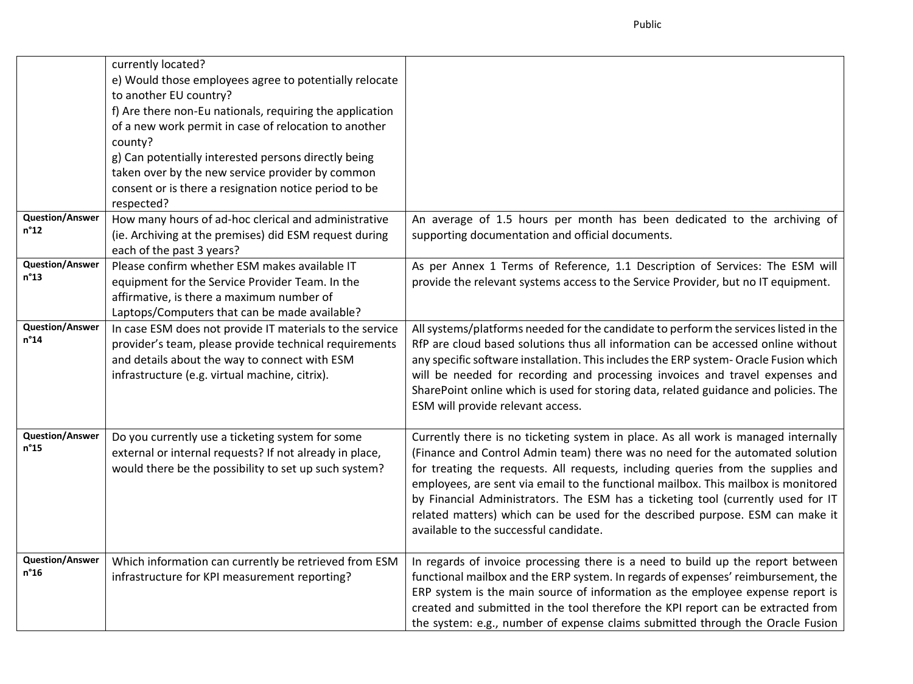|                                         | currently located?<br>e) Would those employees agree to potentially relocate<br>to another EU country?<br>f) Are there non-Eu nationals, requiring the application<br>of a new work permit in case of relocation to another<br>county?<br>g) Can potentially interested persons directly being<br>taken over by the new service provider by common<br>consent or is there a resignation notice period to be<br>respected? |                                                                                                                                                                                                                                                                                                                                                                                                                                                                                                                                                              |
|-----------------------------------------|---------------------------------------------------------------------------------------------------------------------------------------------------------------------------------------------------------------------------------------------------------------------------------------------------------------------------------------------------------------------------------------------------------------------------|--------------------------------------------------------------------------------------------------------------------------------------------------------------------------------------------------------------------------------------------------------------------------------------------------------------------------------------------------------------------------------------------------------------------------------------------------------------------------------------------------------------------------------------------------------------|
| <b>Question/Answer</b><br>$n^{\circ}12$ | How many hours of ad-hoc clerical and administrative<br>(ie. Archiving at the premises) did ESM request during<br>each of the past 3 years?                                                                                                                                                                                                                                                                               | An average of 1.5 hours per month has been dedicated to the archiving of<br>supporting documentation and official documents.                                                                                                                                                                                                                                                                                                                                                                                                                                 |
| <b>Question/Answer</b><br>$n^{\circ}13$ | Please confirm whether ESM makes available IT<br>equipment for the Service Provider Team. In the<br>affirmative, is there a maximum number of<br>Laptops/Computers that can be made available?                                                                                                                                                                                                                            | As per Annex 1 Terms of Reference, 1.1 Description of Services: The ESM will<br>provide the relevant systems access to the Service Provider, but no IT equipment.                                                                                                                                                                                                                                                                                                                                                                                            |
| <b>Question/Answer</b><br>$n^{\circ}14$ | In case ESM does not provide IT materials to the service<br>provider's team, please provide technical requirements<br>and details about the way to connect with ESM<br>infrastructure (e.g. virtual machine, citrix).                                                                                                                                                                                                     | All systems/platforms needed for the candidate to perform the services listed in the<br>RfP are cloud based solutions thus all information can be accessed online without<br>any specific software installation. This includes the ERP system- Oracle Fusion which<br>will be needed for recording and processing invoices and travel expenses and<br>SharePoint online which is used for storing data, related guidance and policies. The<br>ESM will provide relevant access.                                                                              |
| <b>Question/Answer</b><br>$n^{\circ}15$ | Do you currently use a ticketing system for some<br>external or internal requests? If not already in place,<br>would there be the possibility to set up such system?                                                                                                                                                                                                                                                      | Currently there is no ticketing system in place. As all work is managed internally<br>(Finance and Control Admin team) there was no need for the automated solution<br>for treating the requests. All requests, including queries from the supplies and<br>employees, are sent via email to the functional mailbox. This mailbox is monitored<br>by Financial Administrators. The ESM has a ticketing tool (currently used for IT<br>related matters) which can be used for the described purpose. ESM can make it<br>available to the successful candidate. |
| <b>Question/Answer</b><br>$n^{\circ}16$ | Which information can currently be retrieved from ESM<br>infrastructure for KPI measurement reporting?                                                                                                                                                                                                                                                                                                                    | In regards of invoice processing there is a need to build up the report between<br>functional mailbox and the ERP system. In regards of expenses' reimbursement, the<br>ERP system is the main source of information as the employee expense report is<br>created and submitted in the tool therefore the KPI report can be extracted from<br>the system: e.g., number of expense claims submitted through the Oracle Fusion                                                                                                                                 |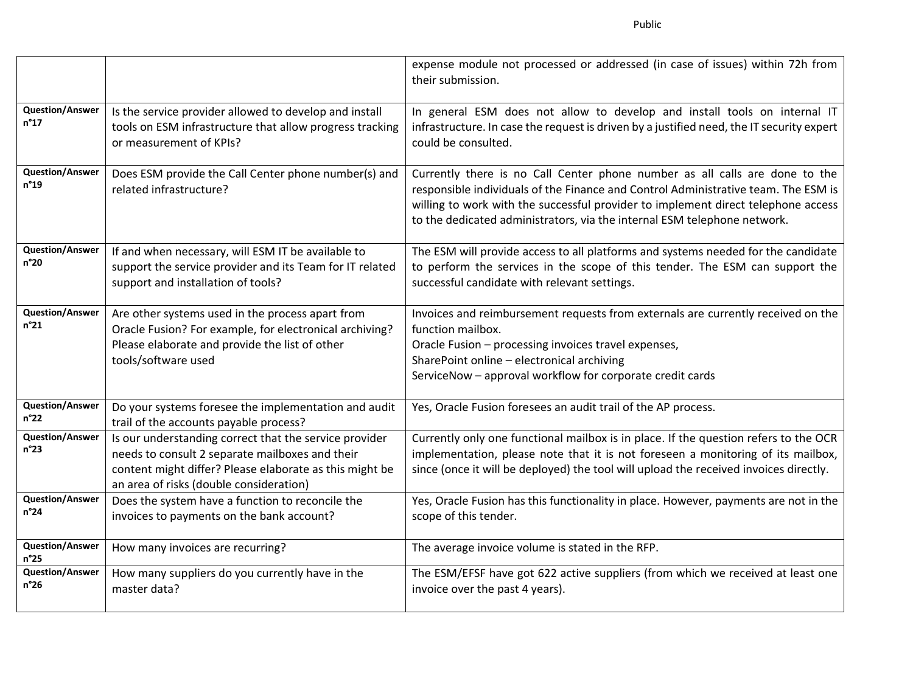|                                         |                                                                                                                                                                                                                 | expense module not processed or addressed (in case of issues) within 72h from<br>their submission.                                                                                                                                                                                                                                 |
|-----------------------------------------|-----------------------------------------------------------------------------------------------------------------------------------------------------------------------------------------------------------------|------------------------------------------------------------------------------------------------------------------------------------------------------------------------------------------------------------------------------------------------------------------------------------------------------------------------------------|
| <b>Question/Answer</b><br>$n^{\circ}17$ | Is the service provider allowed to develop and install<br>tools on ESM infrastructure that allow progress tracking<br>or measurement of KPIs?                                                                   | In general ESM does not allow to develop and install tools on internal IT<br>infrastructure. In case the request is driven by a justified need, the IT security expert<br>could be consulted.                                                                                                                                      |
| <b>Question/Answer</b><br>$n^{\circ}19$ | Does ESM provide the Call Center phone number(s) and<br>related infrastructure?                                                                                                                                 | Currently there is no Call Center phone number as all calls are done to the<br>responsible individuals of the Finance and Control Administrative team. The ESM is<br>willing to work with the successful provider to implement direct telephone access<br>to the dedicated administrators, via the internal ESM telephone network. |
| <b>Question/Answer</b><br>n°20          | If and when necessary, will ESM IT be available to<br>support the service provider and its Team for IT related<br>support and installation of tools?                                                            | The ESM will provide access to all platforms and systems needed for the candidate<br>to perform the services in the scope of this tender. The ESM can support the<br>successful candidate with relevant settings.                                                                                                                  |
| <b>Question/Answer</b><br>$n^{\circ}21$ | Are other systems used in the process apart from<br>Oracle Fusion? For example, for electronical archiving?<br>Please elaborate and provide the list of other<br>tools/software used                            | Invoices and reimbursement requests from externals are currently received on the<br>function mailbox.<br>Oracle Fusion - processing invoices travel expenses,<br>SharePoint online - electronical archiving<br>ServiceNow - approval workflow for corporate credit cards                                                           |
| <b>Question/Answer</b><br>$n^{\circ}22$ | Do your systems foresee the implementation and audit<br>trail of the accounts payable process?                                                                                                                  | Yes, Oracle Fusion foresees an audit trail of the AP process.                                                                                                                                                                                                                                                                      |
| <b>Question/Answer</b><br>$n^{\circ}23$ | Is our understanding correct that the service provider<br>needs to consult 2 separate mailboxes and their<br>content might differ? Please elaborate as this might be<br>an area of risks (double consideration) | Currently only one functional mailbox is in place. If the question refers to the OCR<br>implementation, please note that it is not foreseen a monitoring of its mailbox,<br>since (once it will be deployed) the tool will upload the received invoices directly.                                                                  |
| <b>Question/Answer</b><br>$n^{\circ}24$ | Does the system have a function to reconcile the<br>invoices to payments on the bank account?                                                                                                                   | Yes, Oracle Fusion has this functionality in place. However, payments are not in the<br>scope of this tender.                                                                                                                                                                                                                      |
| <b>Question/Answer</b><br>$n^{\circ}25$ | How many invoices are recurring?                                                                                                                                                                                | The average invoice volume is stated in the RFP.                                                                                                                                                                                                                                                                                   |
| <b>Question/Answer</b><br>$n^{\circ}26$ | How many suppliers do you currently have in the<br>master data?                                                                                                                                                 | The ESM/EFSF have got 622 active suppliers (from which we received at least one<br>invoice over the past 4 years).                                                                                                                                                                                                                 |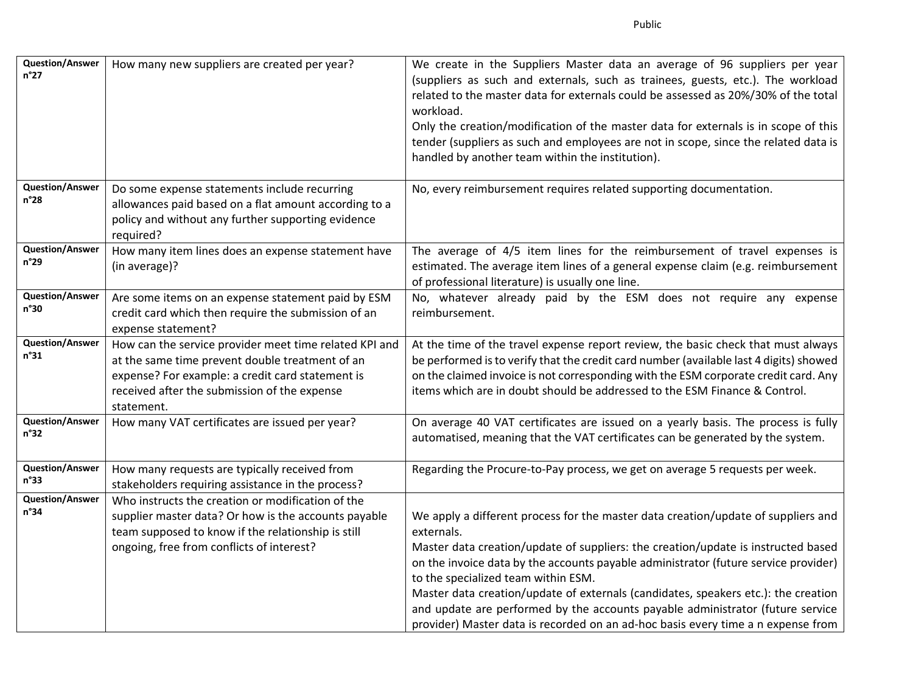| <b>Question/Answer</b><br>$n^{\circ}27$ | How many new suppliers are created per year?                                                                                                                                                                                | We create in the Suppliers Master data an average of 96 suppliers per year<br>(suppliers as such and externals, such as trainees, guests, etc.). The workload<br>related to the master data for externals could be assessed as 20%/30% of the total<br>workload.<br>Only the creation/modification of the master data for externals is in scope of this<br>tender (suppliers as such and employees are not in scope, since the related data is<br>handled by another team within the institution).                                                                             |
|-----------------------------------------|-----------------------------------------------------------------------------------------------------------------------------------------------------------------------------------------------------------------------------|--------------------------------------------------------------------------------------------------------------------------------------------------------------------------------------------------------------------------------------------------------------------------------------------------------------------------------------------------------------------------------------------------------------------------------------------------------------------------------------------------------------------------------------------------------------------------------|
| <b>Question/Answer</b><br>$n^{\circ}28$ | Do some expense statements include recurring<br>allowances paid based on a flat amount according to a<br>policy and without any further supporting evidence<br>required?                                                    | No, every reimbursement requires related supporting documentation.                                                                                                                                                                                                                                                                                                                                                                                                                                                                                                             |
| <b>Question/Answer</b><br>n°29          | How many item lines does an expense statement have<br>(in average)?                                                                                                                                                         | The average of 4/5 item lines for the reimbursement of travel expenses is<br>estimated. The average item lines of a general expense claim (e.g. reimbursement<br>of professional literature) is usually one line.                                                                                                                                                                                                                                                                                                                                                              |
| <b>Question/Answer</b><br>n°30          | Are some items on an expense statement paid by ESM<br>credit card which then require the submission of an<br>expense statement?                                                                                             | No, whatever already paid by the ESM does not require any expense<br>reimbursement.                                                                                                                                                                                                                                                                                                                                                                                                                                                                                            |
| <b>Question/Answer</b><br>n°31          | How can the service provider meet time related KPI and<br>at the same time prevent double treatment of an<br>expense? For example: a credit card statement is<br>received after the submission of the expense<br>statement. | At the time of the travel expense report review, the basic check that must always<br>be performed is to verify that the credit card number (available last 4 digits) showed<br>on the claimed invoice is not corresponding with the ESM corporate credit card. Any<br>items which are in doubt should be addressed to the ESM Finance & Control.                                                                                                                                                                                                                               |
| <b>Question/Answer</b><br>n°32          | How many VAT certificates are issued per year?                                                                                                                                                                              | On average 40 VAT certificates are issued on a yearly basis. The process is fully<br>automatised, meaning that the VAT certificates can be generated by the system.                                                                                                                                                                                                                                                                                                                                                                                                            |
| <b>Question/Answer</b><br>n°33          | How many requests are typically received from<br>stakeholders requiring assistance in the process?                                                                                                                          | Regarding the Procure-to-Pay process, we get on average 5 requests per week.                                                                                                                                                                                                                                                                                                                                                                                                                                                                                                   |
| <b>Question/Answer</b><br>n°34          | Who instructs the creation or modification of the<br>supplier master data? Or how is the accounts payable<br>team supposed to know if the relationship is still<br>ongoing, free from conflicts of interest?                | We apply a different process for the master data creation/update of suppliers and<br>externals.<br>Master data creation/update of suppliers: the creation/update is instructed based<br>on the invoice data by the accounts payable administrator (future service provider)<br>to the specialized team within ESM.<br>Master data creation/update of externals (candidates, speakers etc.): the creation<br>and update are performed by the accounts payable administrator (future service<br>provider) Master data is recorded on an ad-hoc basis every time a n expense from |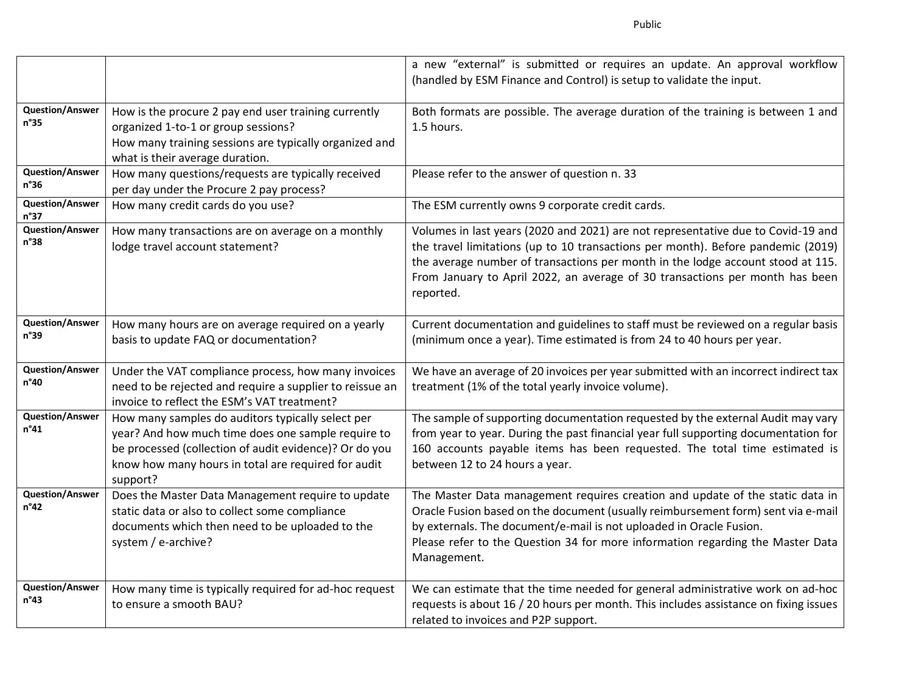|                                         |                                                                                                                                                                                                                                      | a new "external" is submitted or requires an update. An approval workflow<br>(handled by ESM Finance and Control) is setup to validate the input.                                                                                                                                                                                                    |
|-----------------------------------------|--------------------------------------------------------------------------------------------------------------------------------------------------------------------------------------------------------------------------------------|------------------------------------------------------------------------------------------------------------------------------------------------------------------------------------------------------------------------------------------------------------------------------------------------------------------------------------------------------|
| <b>Question/Answer</b><br>n°35          | How is the procure 2 pay end user training currently<br>organized 1-to-1 or group sessions?<br>How many training sessions are typically organized and<br>what is their average duration.                                             | Both formats are possible. The average duration of the training is between 1 and<br>1.5 hours.                                                                                                                                                                                                                                                       |
| <b>Question/Answer</b><br>n°36          | How many questions/requests are typically received<br>per day under the Procure 2 pay process?                                                                                                                                       | Please refer to the answer of question n. 33                                                                                                                                                                                                                                                                                                         |
| <b>Question/Answer</b><br>n°37          | How many credit cards do you use?                                                                                                                                                                                                    | The ESM currently owns 9 corporate credit cards.                                                                                                                                                                                                                                                                                                     |
| <b>Question/Answer</b><br>n°38          | How many transactions are on average on a monthly<br>lodge travel account statement?                                                                                                                                                 | Volumes in last years (2020 and 2021) are not representative due to Covid-19 and<br>the travel limitations (up to 10 transactions per month). Before pandemic (2019)<br>the average number of transactions per month in the lodge account stood at 115.<br>From January to April 2022, an average of 30 transactions per month has been<br>reported. |
| <b>Question/Answer</b><br>n°39          | How many hours are on average required on a yearly<br>basis to update FAQ or documentation?                                                                                                                                          | Current documentation and guidelines to staff must be reviewed on a regular basis<br>(minimum once a year). Time estimated is from 24 to 40 hours per year.                                                                                                                                                                                          |
| <b>Question/Answer</b><br>n°40          | Under the VAT compliance process, how many invoices<br>need to be rejected and require a supplier to reissue an<br>invoice to reflect the ESM's VAT treatment?                                                                       | We have an average of 20 invoices per year submitted with an incorrect indirect tax<br>treatment (1% of the total yearly invoice volume).                                                                                                                                                                                                            |
| <b>Question/Answer</b><br>n°41          | How many samples do auditors typically select per<br>year? And how much time does one sample require to<br>be processed (collection of audit evidence)? Or do you<br>know how many hours in total are required for audit<br>support? | The sample of supporting documentation requested by the external Audit may vary<br>from year to year. During the past financial year full supporting documentation for<br>160 accounts payable items has been requested. The total time estimated is<br>between 12 to 24 hours a year.                                                               |
| <b>Question/Answer</b><br>$n^{\circ}42$ | Does the Master Data Management require to update<br>static data or also to collect some compliance<br>documents which then need to be uploaded to the<br>system / e-archive?                                                        | The Master Data management requires creation and update of the static data in<br>Oracle Fusion based on the document (usually reimbursement form) sent via e-mail<br>by externals. The document/e-mail is not uploaded in Oracle Fusion.<br>Please refer to the Question 34 for more information regarding the Master Data<br>Management.            |
| <b>Question/Answer</b><br>n°43          | How many time is typically required for ad-hoc request<br>to ensure a smooth BAU?                                                                                                                                                    | We can estimate that the time needed for general administrative work on ad-hoc<br>requests is about 16 / 20 hours per month. This includes assistance on fixing issues<br>related to invoices and P2P support.                                                                                                                                       |